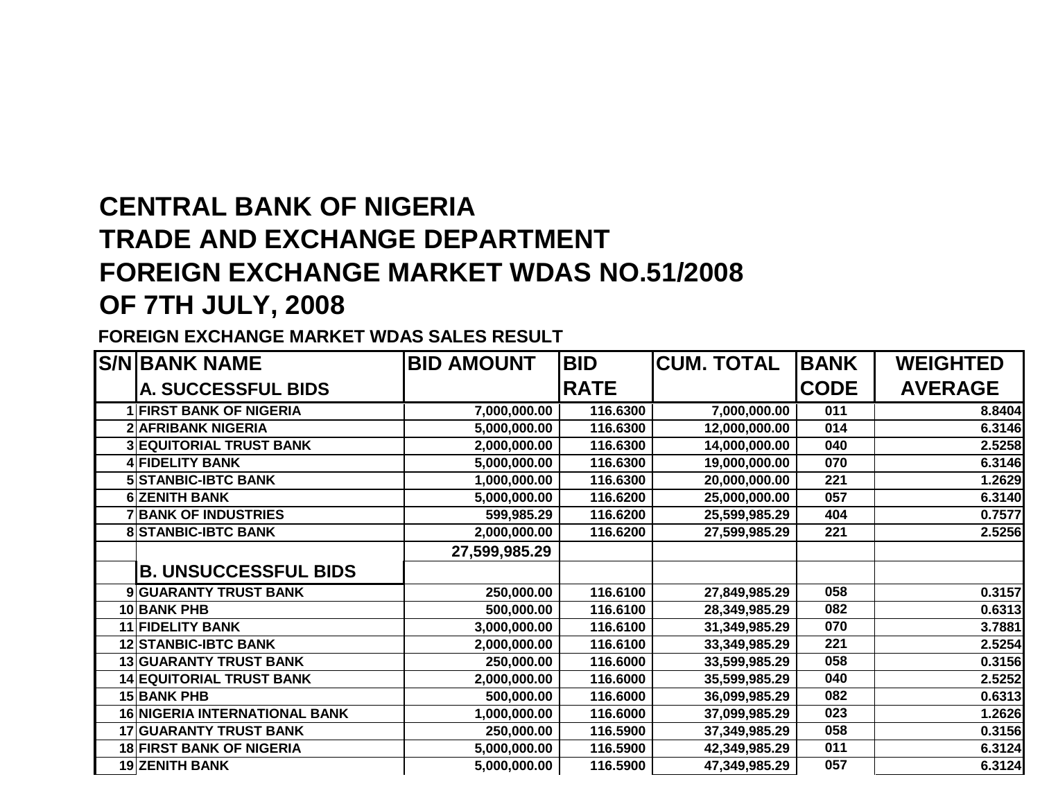## **CENTRAL BANK OF NIGERIA TRADE AND EXCHANGE DEPARTMENT FOREIGN EXCHANGE MARKET WDAS NO.51/2008OF 7TH JULY, 2008**

**FOREIGN EXCHANGE MARKET WDAS SALES RESULT**

|   | <b>S/N BANK NAME</b>                 | <b>BID AMOUNT</b> | <b>BID</b>  | <b>CUM. TOTAL</b> | <b>BANK</b> | <b>WEIGHTED</b> |
|---|--------------------------------------|-------------------|-------------|-------------------|-------------|-----------------|
|   | A. SUCCESSFUL BIDS                   |                   | <b>RATE</b> |                   | <b>CODE</b> | <b>AVERAGE</b>  |
|   | <b>FIRST BANK OF NIGERIA</b>         | 7,000,000.00      | 116.6300    | 7,000,000.00      | 011         | 8.8404          |
|   | <b>2 AFRIBANK NIGERIA</b>            | 5,000,000.00      | 116.6300    | 12,000,000.00     | 014         | 6.3146          |
|   | <b>3 EQUITORIAL TRUST BANK</b>       | 2,000,000.00      | 116.6300    | 14,000,000.00     | 040         | 2.5258          |
|   | <b>FIDELITY BANK</b>                 | 5,000,000.00      | 116.6300    | 19,000,000.00     | 070         | 6.3146          |
|   | <b>5 STANBIC-IBTC BANK</b>           | 1,000,000.00      | 116.6300    | 20,000,000.00     | 221         | 1.2629          |
|   | <b>6 ZENITH BANK</b>                 | 5,000,000.00      | 116.6200    | 25,000,000.00     | 057         | 6.3140          |
|   | <b>BANK OF INDUSTRIES</b>            | 599,985.29        | 116.6200    | 25,599,985.29     | 404         | 0.7577          |
|   | <b>STANBIC-IBTC BANK</b>             | 2,000,000.00      | 116.6200    | 27,599,985.29     | 221         | 2.5256          |
|   |                                      | 27,599,985.29     |             |                   |             |                 |
|   | <b>B. UNSUCCESSFUL BIDS</b>          |                   |             |                   |             |                 |
| 9 | <b>GUARANTY TRUST BANK</b>           | 250,000.00        | 116.6100    | 27,849,985.29     | 058         | 0.3157          |
|   | 10 BANK PHB                          | 500,000.00        | 116.6100    | 28,349,985.29     | 082         | 0.6313          |
|   | 11 FIDELITY BANK                     | 3,000,000.00      | 116.6100    | 31,349,985.29     | 070         | 3.7881          |
|   | <b>12 STANBIC-IBTC BANK</b>          | 2,000,000.00      | 116.6100    | 33,349,985.29     | 221         | 2.5254          |
|   | <b>13 GUARANTY TRUST BANK</b>        | 250,000.00        | 116.6000    | 33,599,985.29     | 058         | 0.3156          |
|   | <b>14 EQUITORIAL TRUST BANK</b>      | 2,000,000.00      | 116.6000    | 35,599,985.29     | 040         | 2.5252          |
|   | <b>15 BANK PHB</b>                   | 500,000.00        | 116.6000    | 36,099,985.29     | 082         | 0.6313          |
|   | <b>16 NIGERIA INTERNATIONAL BANK</b> | 1,000,000.00      | 116.6000    | 37,099,985.29     | 023         | 1.2626          |
|   | <b>17 GUARANTY TRUST BANK</b>        | 250,000.00        | 116.5900    | 37,349,985.29     | 058         | 0.3156          |
|   | <b>18 FIRST BANK OF NIGERIA</b>      | 5,000,000.00      | 116.5900    | 42,349,985.29     | 011         | 6.3124          |
|   | <b>19 ZENITH BANK</b>                | 5,000,000.00      | 116.5900    | 47,349,985.29     | 057         | 6.3124          |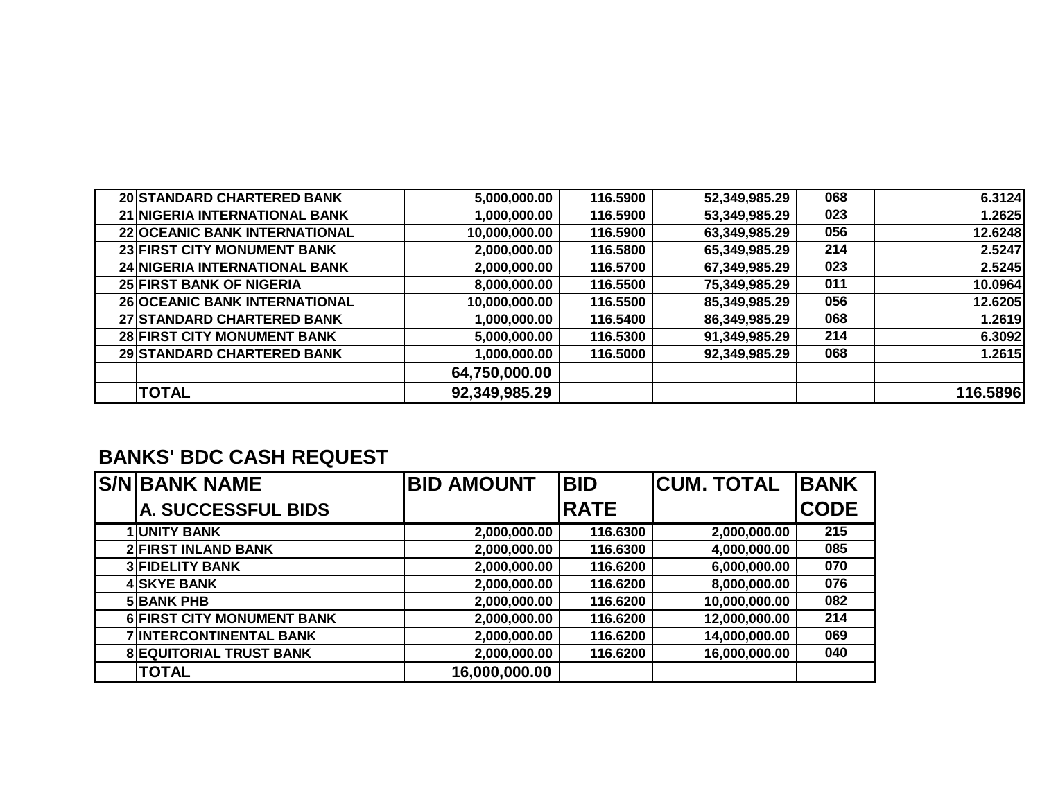| 20 STANDARD CHARTERED BANK      | 5,000,000.00  | 116.5900 | 52,349,985.29 | 068 | 6.3124   |
|---------------------------------|---------------|----------|---------------|-----|----------|
| 21 NIGERIA INTERNATIONAL BANK   | 1,000,000.00  | 116.5900 | 53,349,985.29 | 023 | 1.2625   |
| 22 OCEANIC BANK INTERNATIONAL   | 10,000,000.00 | 116.5900 | 63,349,985.29 | 056 | 12.6248  |
| 23 FIRST CITY MONUMENT BANK     | 2,000,000.00  | 116.5800 | 65,349,985.29 | 214 | 2.5247   |
| 24 NIGERIA INTERNATIONAL BANK   | 2,000,000.00  | 116.5700 | 67,349,985.29 | 023 | 2.5245   |
| <b>25 FIRST BANK OF NIGERIA</b> | 8,000,000.00  | 116.5500 | 75,349,985.29 | 011 | 10.0964  |
| 26 OCEANIC BANK INTERNATIONAL   | 10,000,000.00 | 116.5500 | 85,349,985.29 | 056 | 12.6205  |
| 27 STANDARD CHARTERED BANK      | 1,000,000.00  | 116.5400 | 86,349,985.29 | 068 | 1.2619   |
| 28 FIRST CITY MONUMENT BANK     | 5,000,000.00  | 116.5300 | 91,349,985.29 | 214 | 6.3092   |
| 29 STANDARD CHARTERED BANK      | 1,000,000.00  | 116.5000 | 92,349,985.29 | 068 | 1.2615   |
|                                 | 64,750,000.00 |          |               |     |          |
| <b>TOTAL</b>                    | 92,349,985.29 |          |               |     | 116.5896 |

## **BANKS' BDC CASH REQUEST**

| <b>S/N BANK NAME</b>           | <b>BID AMOUNT</b> | <b>BID</b>  | <b>CUM. TOTAL</b> | <b>BANK</b> |
|--------------------------------|-------------------|-------------|-------------------|-------------|
| <b>A. SUCCESSFUL BIDS</b>      |                   | <b>RATE</b> |                   | <b>CODE</b> |
| <b>1 UNITY BANK</b>            | 2,000,000.00      | 116.6300    | 2,000,000.00      | 215         |
| <b>2 FIRST INLAND BANK</b>     | 2,000,000.00      | 116.6300    | 4,000,000.00      | 085         |
| <b>3 FIDELITY BANK</b>         | 2,000,000.00      | 116.6200    | 6,000,000.00      | 070         |
| <b>4 SKYE BANK</b>             | 2,000,000.00      | 116.6200    | 8,000,000.00      | 076         |
| <b>5 BANK PHB</b>              | 2,000,000.00      | 116.6200    | 10,000,000.00     | 082         |
| 6 FIRST CITY MONUMENT BANK     | 2,000,000.00      | 116.6200    | 12,000,000.00     | 214         |
| <b>7 INTERCONTINENTAL BANK</b> | 2,000,000.00      | 116.6200    | 14,000,000.00     | 069         |
| <b>8 EQUITORIAL TRUST BANK</b> | 2,000,000.00      | 116.6200    | 16,000,000.00     | 040         |
| <b>TOTAL</b>                   | 16,000,000.00     |             |                   |             |